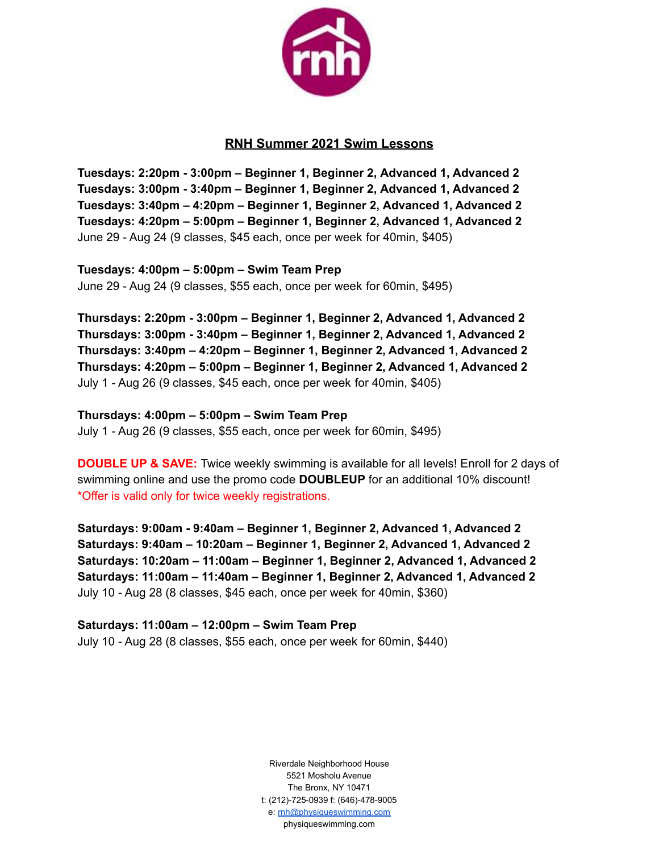

## **RNH Summer 2021 Swim Lessons**

**Tuesdays: 2:20pm - 3:00pm – Beginner 1, Beginner 2, Advanced 1, Advanced 2 Tuesdays: 3:00pm - 3:40pm – Beginner 1, Beginner 2, Advanced 1, Advanced 2 Tuesdays: 3:40pm – 4:20pm – Beginner 1, Beginner 2, Advanced 1, Advanced 2 Tuesdays: 4:20pm – 5:00pm – Beginner 1, Beginner 2, Advanced 1, Advanced 2** June 29 - Aug 24 (9 classes, \$45 each, once per week for 40min, \$405)

**Tuesdays: 4:00pm – 5:00pm – Swim Team Prep** June 29 - Aug 24 (9 classes, \$55 each, once per week for 60min, \$495)

**Thursdays: 2:20pm - 3:00pm – Beginner 1, Beginner 2, Advanced 1, Advanced 2 Thursdays: 3:00pm - 3:40pm – Beginner 1, Beginner 2, Advanced 1, Advanced 2 Thursdays: 3:40pm – 4:20pm – Beginner 1, Beginner 2, Advanced 1, Advanced 2 Thursdays: 4:20pm – 5:00pm – Beginner 1, Beginner 2, Advanced 1, Advanced 2** July 1 - Aug 26 (9 classes, \$45 each, once per week for 40min, \$405)

**Thursdays: 4:00pm – 5:00pm – Swim Team Prep** July 1 - Aug 26 (9 classes, \$55 each, once per week for 60min, \$495)

**DOUBLE UP & SAVE:** Twice weekly swimming is available for all levels! Enroll for 2 days of swimming online and use the promo code **DOUBLEUP** for an additional 10% discount! \*Offer is valid only for twice weekly registrations.

**Saturdays: 9:00am - 9:40am – Beginner 1, Beginner 2, Advanced 1, Advanced 2 Saturdays: 9:40am – 10:20am – Beginner 1, Beginner 2, Advanced 1, Advanced 2 Saturdays: 10:20am – 11:00am – Beginner 1, Beginner 2, Advanced 1, Advanced 2 Saturdays: 11:00am – 11:40am – Beginner 1, Beginner 2, Advanced 1, Advanced 2** July 10 - Aug 28 (8 classes, \$45 each, once per week for 40min, \$360)

**Saturdays: 11:00am – 12:00pm – Swim Team Prep** July 10 - Aug 28 (8 classes, \$55 each, once per week for 60min, \$440)

> Riverdale Neighborhood House 5521 Mosholu Avenue The Bronx, NY 10471 t: (212)-725-0939 f: (646)-478-9005 e: [rnh@physiqueswimming.com](mailto:rnh@physiqueswimming.com) physiqueswimming.com